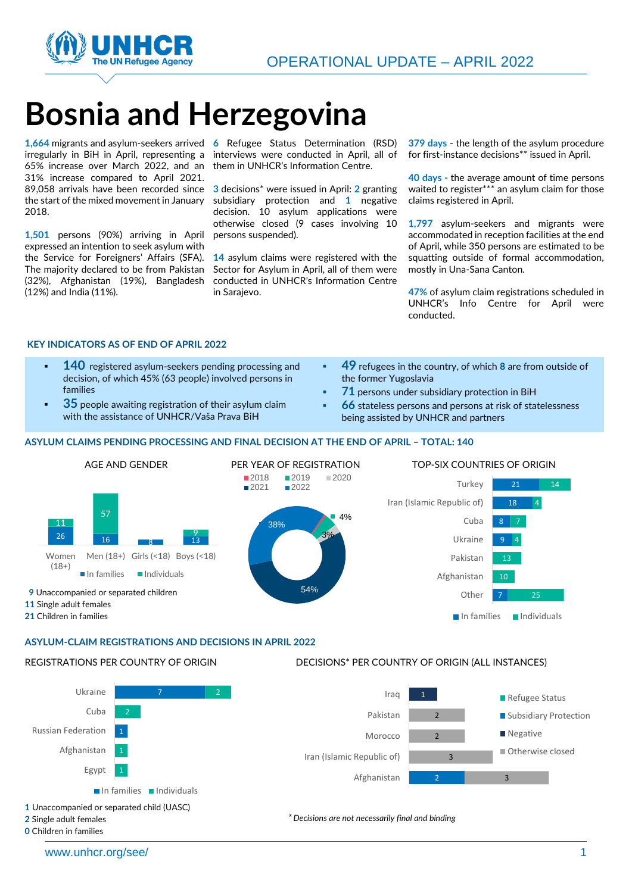

# **Bosnia and Herzegovina**

irregularly in BiH in April, representing a 65% increase over March 2022, and an 31% increase compared to April 2021. 89,058 arrivals have been recorded since the start of the mixed movement in January 2018.

**1,501** persons (90%) arriving in April expressed an intention to seek asylum with the Service for Foreigners' Affairs (SFA). The majority declared to be from Pakistan (32%), Afghanistan (19%), Bangladesh (12%) and India (11%).

\**1,664** migrants and asylum-seekers arrived **6** Refugee Status Determination (RSD) interviews were conducted in April, all of them in UNHCR's Information Centre.

> **3** decisions\* were issued in April: **2** granting subsidiary protection and **1** negative decision. 10 asylum applications were otherwise closed (9 cases involving 10 persons suspended).

> **14** asylum claims were registered with the Sector for Asylum in April, all of them were conducted in UNHCR's Information Centre in Sarajevo.

**379 days** - the length of the asylum procedure for first-instance decisions\*\* issued in April.

**40 days -** the average amount of time persons waited to register\*\*\* an asylum claim for those claims registered in April.

**1,797** asylum-seekers and migrants were accommodated in reception facilities at the end of April, while 350 persons are estimated to be squatting outside of formal accommodation, mostly in Una-Sana Canton.

**47%** of asylum claim registrations scheduled in UNHCR's Info Centre for April were conducted.

### **KEY INDICATORS AS OF END OF APRIL 2022**

- **140** registered asylum-seekers pending processing and decision, of which 45% (63 people) involved persons in families
- **35** people awaiting registration of their asylum claim with the assistance of UNHCR/Vaša Prava BiH
- **49** refugees in the country, of which 8 are from outside of the former Yugoslavia
- **71** persons under subsidiary protection in BiH
- **66** stateless persons and persons at risk of statelessness being assisted by UNHCR and partners

#### **ASYLUM CLAIMS PENDING PROCESSING AND FINAL DECISION AT THE END OF APRIL – TOTAL: 140**



#### **ASYLUM-CLAIM REGISTRATIONS AND DECISIONS IN APRIL 2022**

#### REGISTRATIONS PER COUNTRY OF ORIGIN



**1** Unaccompanied or separated child (UASC)

**2** Single adult females **0** Children in families

www.unhcr.org/see/ 1 and 1 and 2 and 2 and 2 and 2 and 2 and 2 and 2 and 2 and 2 and 2 and 2 and 2 and 2 and 2 and 2 and 2 and 2 and 2 and 2 and 2 and 2 and 2 and 2 and 2 and 2 and 2 and 2 and 2 and 2 and 2 and 2 and 2 and

DECISIONS\* PER COUNTRY OF ORIGIN (ALL INSTANCES)

*ˣ Decisions are not necessarily final and binding*

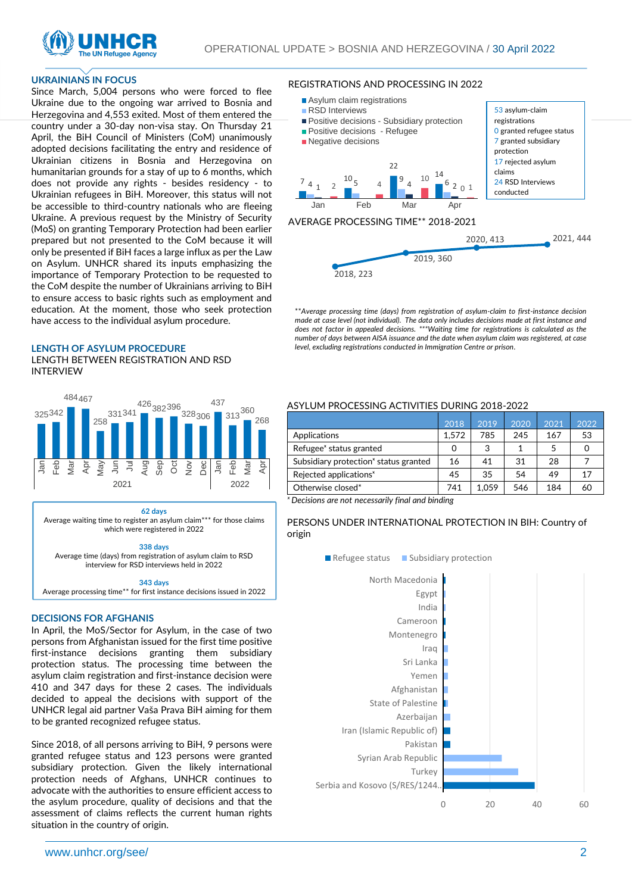

#### **UKRAINIANS IN FOCUS**

Since March, 5,004 persons who were forced to flee Ukraine due to the ongoing war arrived to Bosnia and Herzegovina and 4,553 exited. Most of them entered the country under a 30-day non-visa stay. On Thursday 21 April, the BiH Council of Ministers (CoM) unanimously adopted decisions facilitating the entry and residence of Ukrainian citizens in Bosnia and Herzegovina on humanitarian grounds for a stay of up to 6 months, which does not provide any rights - besides residency - to Ukrainian refugees in BiH. Moreover, this status will not be accessible to third-country nationals who are fleeing Ukraine. A previous request by the Ministry of Security (MoS) on granting Temporary Protection had been earlier prepared but not presented to the CoM because it will only be presented if BiH faces a large influx as per the Law on Asylum. UNHCR shared its inputs emphasizing the importance of Temporary Protection to be requested to the CoM despite the number of Ukrainians arriving to BiH to ensure access to basic rights such as employment and education. At the moment, those who seek protection have access to the individual asylum procedure.

#### **LENGTH OF ASYLUM PROCEDURE**

LENGTH BETWEEN REGISTRATION AND RSD INTERVIEW



**62 days**

Average waiting time to register an asylum claim\*\*\* for those claims which were registered in 2022

#### **338 days**

Average time (days) from registration of asylum claim to RSD interview for RSD interviews held in 2022

#### **343 days**

Average processing time\*\* for first instance decisions issued in 2022

#### **DECISIONS FOR AFGHANIS**

In April, the MoS/Sector for Asylum, in the case of two persons from Afghanistan issued for the first time positive first-instance decisions granting them subsidiary protection status. The processing time between the asylum claim registration and first-instance decision were 410 and 347 days for these 2 cases. The individuals decided to appeal the decisions with support of the UNHCR legal aid partner Vaša Prava BiH aiming for them to be granted recognized refugee status.

Since 2018, of all persons arriving to BiH, 9 persons were granted refugee status and 123 persons were granted subsidiary protection. Given the likely international protection needs of Afghans, UNHCR continues to advocate with the authorities to ensure efficient access to the asylum procedure, quality of decisions and that the assessment of claims reflects the current human rights situation in the country of origin.

#### REGISTRATIONS AND PROCESSING IN 2022



\*\**Average processing time (days) from registration of asylum-claim to first-instance decision made at case level (not individual). The data only includes decisions made at first instance and does not factor in appealed decisions. \*\*\*Waiting time for registrations is calculated as the number of days between AISA issuance and the date when asylum claim was registered, at case level, excluding registrations conducted in Immigration Centre or prison.*

### ASYLUM PROCESSING ACTIVITIES DURING 2018-2022

|                                                   | 2018  | 2019  | 2020 | 2021 | 2022 |
|---------------------------------------------------|-------|-------|------|------|------|
| Applications                                      | 1.572 | 785   | 245  | 167  | 53   |
| Refugee <sup>x</sup> status granted               | 0     | 3     |      | 5    | Ω    |
| Subsidiary protection <sup>*</sup> status granted | 16    | 41    | 31   | 28   |      |
| Rejected applications <sup>x</sup>                | 45    | 35    | 54   | 49   | 17   |
| Otherwise closed*                                 | 741   | 1.059 | 546  | 184  | 60   |

*ˣ Decisions are not necessarily final and binding*

PERSONS UNDER INTERNATIONAL PROTECTION IN BIH: Country of origin

 $\blacksquare$  Refugee status  $\blacksquare$  Subsidiary protection